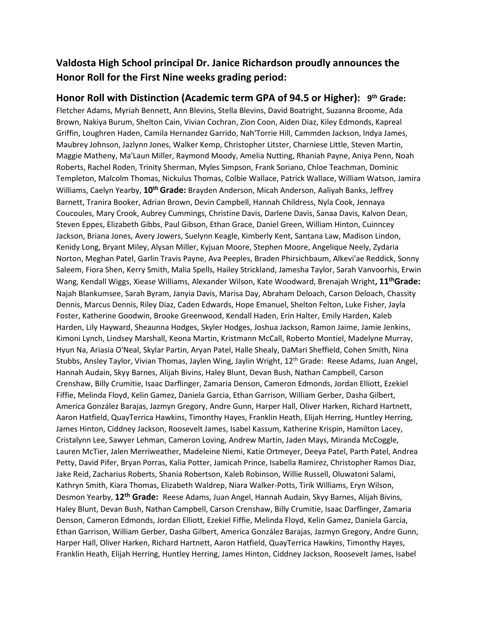## **Valdosta High School principal Dr. Janice Richardson proudly announces the Honor Roll for the First Nine weeks grading period:**

**Honor Roll with Distinction (Academic term GPA of 94.5 or Higher): 9 th Grade:** Fletcher Adams, Myriah Bennett, Ann Blevins, Stella Blevins, David Boatright, Suzanna Broome, Ada Brown, Nakiya Burum, Shelton Cain, Vivian Cochran, Zion Coon, Aiden Diaz, Kiley Edmonds, Kapreal Griffin, Loughren Haden, Camila Hernandez Garrido, Nah'Torrie Hill, Cammden Jackson, Indya James, Maubrey Johnson, Jazlynn Jones, Walker Kemp, Christopher Litster, Charniese Little, Steven Martin, Maggie Matheny, Ma'Laun Miller, Raymond Moody, Amelia Nutting, Rhaniah Payne, Aniya Penn, Noah Roberts, Rachel Roden, Trinity Sherman, Myles Simpson, Frank Soriano, Chloe Teachman, Dominic Templeton, Malcolm Thomas, Nickulus Thomas, Colbie Wallace, Patrick Wallace, William Watson, Jamira Williams, Caelyn Yearby, **10th Grade:** Brayden Anderson, Micah Anderson, Aaliyah Banks, Jeffrey Barnett, Tranira Booker, Adrian Brown, Devin Campbell, Hannah Childress, Nyla Cook, Jennaya Coucoules, Mary Crook, Aubrey Cummings, Christine Davis, Darlene Davis, Sanaa Davis, Kalvon Dean, Steven Eppes, Elizabeth Gibbs, Paul Gibson, Ethan Grace, Daniel Green, William Hinton, Cuinncey Jackson, Briana Jones, Avery Jowers, Suelynn Keagle, Kimberly Kent, Santana Law, Madison Lindon, Kenidy Long, Bryant Miley, Alysan Miller, Kyjuan Moore, Stephen Moore, Angelique Neely, Zydaria Norton, Meghan Patel, Garlin Travis Payne, Ava Peeples, Braden Phirsichbaum, Alkevi'ae Reddick, Sonny Saleem, Fiora Shen, Kerry Smith, Malia Spells, Hailey Strickland, Jamesha Taylor, Sarah Vanvoorhis, Erwin Wang, Kendall Wiggs, Xiease Williams, Alexander Wilson, Kate Woodward, Brenajah Wright**, 11thGrade:** Najah Blankumsee, Sarah Byram, Janyia Davis, Marisa Day, Abraham Deloach, Carson Deloach, Chassity Dennis, Marcus Dennis, Riley Diaz, Caden Edwards, Hope Emanuel, Shelton Felton, Luke Fisher, Jayla Foster, Katherine Goodwin, Brooke Greenwood, Kendall Haden, Erin Halter, Emily Harden, Kaleb Harden, Lily Hayward, Sheaunna Hodges, Skyler Hodges, Joshua Jackson, Ramon Jaime, Jamie Jenkins, Kimoni Lynch, Lindsey Marshall, Keona Martin, Kristmann McCall, Roberto Montiel, Madelyne Murray, Hyun Na, Ariasia O'Neal, Skylar Partin, Aryan Patel, Halle Shealy, DaMari Sheffield, Cohen Smith, Nina Stubbs, Ansley Taylor, Vivian Thomas, Jaylen Wing, Jaylin Wright, 12<sup>th</sup> Grade: Reese Adams, Juan Angel, Hannah Audain, Skyy Barnes, Alijah Bivins, Haley Blunt, Devan Bush, Nathan Campbell, Carson Crenshaw, Billy Crumitie, Isaac Darflinger, Zamaria Denson, Cameron Edmonds, Jordan Elliott, Ezekiel Fiffie, Melinda Floyd, Kelin Gamez, Daniela Garcia, Ethan Garrison, William Gerber, Dasha Gilbert, America González Barajas, Jazmyn Gregory, Andre Gunn, Harper Hall, Oliver Harken, Richard Hartnett, Aaron Hatfield, QuayTerrica Hawkins, Timonthy Hayes, Franklin Heath, Elijah Herring, Huntley Herring, James Hinton, Ciddney Jackson, Roosevelt James, Isabel Kassum, Katherine Krispin, Hamilton Lacey, Cristalynn Lee, Sawyer Lehman, Cameron Loving, Andrew Martin, Jaden Mays, Miranda McCoggle, Lauren McTier, Jalen Merriweather, Madeleine Niemi, Katie Ortmeyer, Deeya Patel, Parth Patel, Andrea Petty, David Pifer, Bryan Porras, Kalia Potter, Jamicah Prince, Isabella Ramirez, Christopher Ramos Diaz, Jake Reid, Zacharius Roberts, Shania Robertson, Kaleb Robinson, Willie Russell, Oluwatoni Salami, Kathryn Smith, Kiara Thomas, Elizabeth Waldrep, Niara Walker-Potts, Tirik Williams, Eryn Wilson, Desmon Yearby, **12th Grade:** Reese Adams, Juan Angel, Hannah Audain, Skyy Barnes, Alijah Bivins, Haley Blunt, Devan Bush, Nathan Campbell, Carson Crenshaw, Billy Crumitie, Isaac Darflinger, Zamaria Denson, Cameron Edmonds, Jordan Elliott, Ezekiel Fiffie, Melinda Floyd, Kelin Gamez, Daniela Garcia, Ethan Garrison, William Gerber, Dasha Gilbert, America González Barajas, Jazmyn Gregory, Andre Gunn, Harper Hall, Oliver Harken, Richard Hartnett, Aaron Hatfield, QuayTerrica Hawkins, Timonthy Hayes, Franklin Heath, Elijah Herring, Huntley Herring, James Hinton, Ciddney Jackson, Roosevelt James, Isabel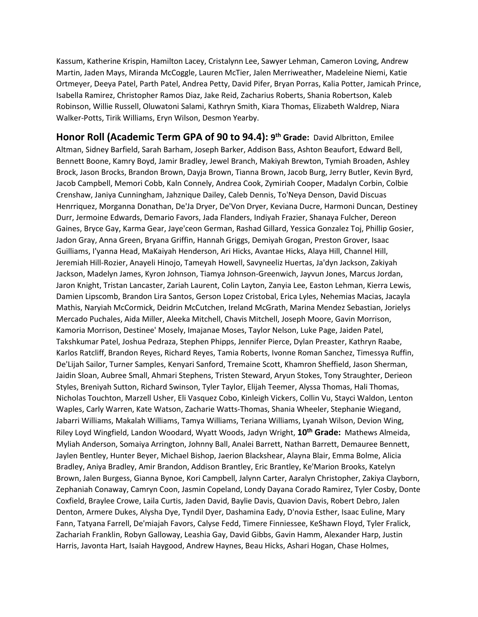Kassum, Katherine Krispin, Hamilton Lacey, Cristalynn Lee, Sawyer Lehman, Cameron Loving, Andrew Martin, Jaden Mays, Miranda McCoggle, Lauren McTier, Jalen Merriweather, Madeleine Niemi, Katie Ortmeyer, Deeya Patel, Parth Patel, Andrea Petty, David Pifer, Bryan Porras, Kalia Potter, Jamicah Prince, Isabella Ramirez, Christopher Ramos Diaz, Jake Reid, Zacharius Roberts, Shania Robertson, Kaleb Robinson, Willie Russell, Oluwatoni Salami, Kathryn Smith, Kiara Thomas, Elizabeth Waldrep, Niara Walker-Potts, Tirik Williams, Eryn Wilson, Desmon Yearby.

**Honor Roll (Academic Term GPA of 90 to 94.4): 9 th Grade:** David Albritton, Emilee Altman, Sidney Barfield, Sarah Barham, Joseph Barker, Addison Bass, Ashton Beaufort, Edward Bell, Bennett Boone, Kamry Boyd, Jamir Bradley, Jewel Branch, Makiyah Brewton, Tymiah Broaden, Ashley Brock, Jason Brocks, Brandon Brown, Dayja Brown, Tianna Brown, Jacob Burg, Jerry Butler, Kevin Byrd, Jacob Campbell, Memori Cobb, Kaln Connely, Andrea Cook, Zymiriah Cooper, Madalyn Corbin, Colbie Crenshaw, Janiya Cunningham, Jahznique Dailey, Caleb Dennis, To'Neya Denson, David Discuas Henrriquez, Morganna Donathan, De'Ja Dryer, De'Von Dryer, Keviana Ducre, Harmoni Duncan, Destiney Durr, Jermoine Edwards, Demario Favors, Jada Flanders, Indiyah Frazier, Shanaya Fulcher, Dereon Gaines, Bryce Gay, Karma Gear, Jaye'ceon German, Rashad Gillard, Yessica Gonzalez Toj, Phillip Gosier, Jadon Gray, Anna Green, Bryana Griffin, Hannah Griggs, Demiyah Grogan, Preston Grover, Isaac Guilliams, I'yanna Head, MaKaiyah Henderson, Ari Hicks, Avantae Hicks, Alaya Hill, Channel Hill, Jeremiah Hill-Rozier, Anayeli Hinojo, Tameyah Howell, Savyneeliz Huertas, Ja'dyn Jackson, Zakiyah Jackson, Madelyn James, Kyron Johnson, Tiamya Johnson-Greenwich, Jayvun Jones, Marcus Jordan, Jaron Knight, Tristan Lancaster, Zariah Laurent, Colin Layton, Zanyia Lee, Easton Lehman, Kierra Lewis, Damien Lipscomb, Brandon Lira Santos, Gerson Lopez Cristobal, Erica Lyles, Nehemias Macias, Jacayla Mathis, Naryiah McCormick, Deidrin McCutchen, Ireland McGrath, Marina Mendez Sebastian, Jorielys Mercado Puchales, Aida Miller, Aleeka Mitchell, Chavis Mitchell, Joseph Moore, Gavin Morrison, Kamoria Morrison, Destinee' Mosely, Imajanae Moses, Taylor Nelson, Luke Page, Jaiden Patel, Takshkumar Patel, Joshua Pedraza, Stephen Phipps, Jennifer Pierce, Dylan Preaster, Kathryn Raabe, Karlos Ratcliff, Brandon Reyes, Richard Reyes, Tamia Roberts, Ivonne Roman Sanchez, Timessya Ruffin, De'Lijah Sailor, Turner Samples, Kenyari Sanford, Tremaine Scott, Khamron Sheffield, Jason Sherman, Jaidin Sloan, Aubree Small, Ahmari Stephens, Tristen Steward, Aryun Stokes, Tony Straughter, Derieon Styles, Breniyah Sutton, Richard Swinson, Tyler Taylor, Elijah Teemer, Alyssa Thomas, Hali Thomas, Nicholas Touchton, Marzell Usher, Eli Vasquez Cobo, Kinleigh Vickers, Collin Vu, Stayci Waldon, Lenton Waples, Carly Warren, Kate Watson, Zacharie Watts-Thomas, Shania Wheeler, Stephanie Wiegand, Jabarri Williams, Makalah Williams, Tamya Williams, Teriana Williams, Lyanah Wilson, Devion Wing, Riley Loyd Wingfield, Landon Woodard, Wyatt Woods, Jadyn Wright, **10th Grade:** Mathews Almeida, Myliah Anderson, Somaiya Arrington, Johnny Ball, Analei Barrett, Nathan Barrett, Demauree Bennett, Jaylen Bentley, Hunter Beyer, Michael Bishop, Jaerion Blackshear, Alayna Blair, Emma Bolme, Alicia Bradley, Aniya Bradley, Amir Brandon, Addison Brantley, Eric Brantley, Ke'Marion Brooks, Katelyn Brown, Jalen Burgess, Gianna Bynoe, Kori Campbell, Jalynn Carter, Aaralyn Christopher, Zakiya Clayborn, Zephaniah Conaway, Camryn Coon, Jasmin Copeland, Londy Dayana Corado Ramirez, Tyler Cosby, Donte Coxfield, Braylee Crowe, Laila Curtis, Jaden David, Baylie Davis, Quavion Davis, Robert Debro, Jalen Denton, Armere Dukes, Alysha Dye, Tyndil Dyer, Dashamina Eady, D'novia Esther, Isaac Euline, Mary Fann, Tatyana Farrell, De'miajah Favors, Calyse Fedd, Timere Finniessee, KeShawn Floyd, Tyler Fralick, Zachariah Franklin, Robyn Galloway, Leashia Gay, David Gibbs, Gavin Hamm, Alexander Harp, Justin Harris, Javonta Hart, Isaiah Haygood, Andrew Haynes, Beau Hicks, Ashari Hogan, Chase Holmes,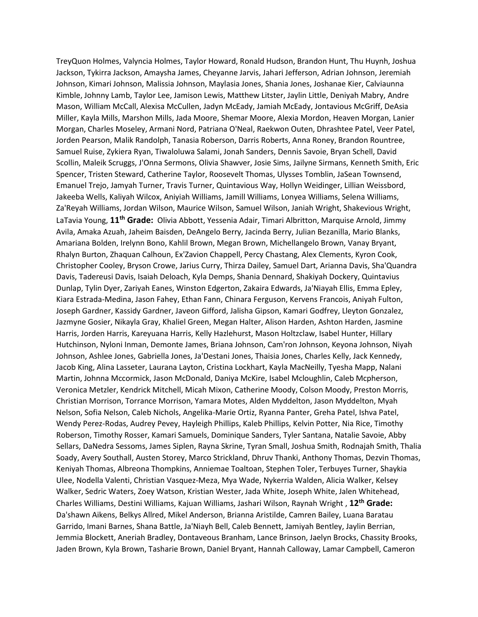TreyQuon Holmes, Valyncia Holmes, Taylor Howard, Ronald Hudson, Brandon Hunt, Thu Huynh, Joshua Jackson, Tykirra Jackson, Amaysha James, Cheyanne Jarvis, Jahari Jefferson, Adrian Johnson, Jeremiah Johnson, Kimari Johnson, Malissia Johnson, Maylasia Jones, Shania Jones, Joshanae Kier, Calviaunna Kimble, Johnny Lamb, Taylor Lee, Jamison Lewis, Matthew Litster, Jaylin Little, Deniyah Mabry, Andre Mason, William McCall, Alexisa McCullen, Jadyn McEady, Jamiah McEady, Jontavious McGriff, DeAsia Miller, Kayla Mills, Marshon Mills, Jada Moore, Shemar Moore, Alexia Mordon, Heaven Morgan, Lanier Morgan, Charles Moseley, Armani Nord, Patriana O'Neal, Raekwon Outen, Dhrashtee Patel, Veer Patel, Jorden Pearson, Malik Randolph, Tanasia Roberson, Darris Roberts, Anna Roney, Brandon Rountree, Samuel Ruise, Zykiera Ryan, Tiwaloluwa Salami, Jonah Sanders, Dennis Savoie, Bryan Schell, David Scollin, Maleik Scruggs, J'Onna Sermons, Olivia Shawver, Josie Sims, Jailyne Sirmans, Kenneth Smith, Eric Spencer, Tristen Steward, Catherine Taylor, Roosevelt Thomas, Ulysses Tomblin, JaSean Townsend, Emanuel Trejo, Jamyah Turner, Travis Turner, Quintavious Way, Hollyn Weidinger, Lillian Weissbord, Jakeeba Wells, Kaliyah Wilcox, Aniyiah Williams, Jamill Williams, Lonyea Williams, Selena Williams, Za'Reyah Williams, Jordan Wilson, Maurice Wilson, Samuel Wilson, Janiah Wright, Shakevious Wright, LaTavia Young, **11th Grade:** Olivia Abbott, Yessenia Adair, Timari Albritton, Marquise Arnold, Jimmy Avila, Amaka Azuah, Jaheim Baisden, DeAngelo Berry, Jacinda Berry, Julian Bezanilla, Mario Blanks, Amariana Bolden, Irelynn Bono, Kahlil Brown, Megan Brown, Michellangelo Brown, Vanay Bryant, Rhalyn Burton, Zhaquan Calhoun, Ex'Zavion Chappell, Percy Chastang, Alex Clements, Kyron Cook, Christopher Cooley, Bryson Crowe, Jarius Curry, Thirza Dailey, Samuel Dart, Arianna Davis, Sha'Quandra Davis, Tadereusi Davis, Isaiah Deloach, Kyla Demps, Shania Dennard, Shakiyah Dockery, Quintavius Dunlap, Tylin Dyer, Zariyah Eanes, Winston Edgerton, Zakaira Edwards, Ja'Niayah Ellis, Emma Epley, Kiara Estrada-Medina, Jason Fahey, Ethan Fann, Chinara Ferguson, Kervens Francois, Aniyah Fulton, Joseph Gardner, Kassidy Gardner, Javeon Gifford, Jalisha Gipson, Kamari Godfrey, Lleyton Gonzalez, Jazmyne Gosier, Nikayla Gray, Khaliel Green, Megan Halter, Alison Harden, Ashton Harden, Jasmine Harris, Jorden Harris, Kareyuana Harris, Kelly Hazlehurst, Mason Holtzclaw, Isabel Hunter, Hillary Hutchinson, Nyloni Inman, Demonte James, Briana Johnson, Cam'ron Johnson, Keyona Johnson, Niyah Johnson, Ashlee Jones, Gabriella Jones, Ja'Destani Jones, Thaisia Jones, Charles Kelly, Jack Kennedy, Jacob King, Alina Lasseter, Laurana Layton, Cristina Lockhart, Kayla MacNeilly, Tyesha Mapp, Nalani Martin, Johnna Mccormick, Jason McDonald, Daniya McKire, Isabel Mcloughlin, Caleb Mcpherson, Veronica Metzler, Kendrick Mitchell, Micah Mixon, Catherine Moody, Colson Moody, Preston Morris, Christian Morrison, Torrance Morrison, Yamara Motes, Alden Myddelton, Jason Myddelton, Myah Nelson, Sofia Nelson, Caleb Nichols, Angelika-Marie Ortiz, Ryanna Panter, Greha Patel, Ishva Patel, Wendy Perez-Rodas, Audrey Pevey, Hayleigh Phillips, Kaleb Phillips, Kelvin Potter, Nia Rice, Timothy Roberson, Timothy Rosser, Kamari Samuels, Dominique Sanders, Tyler Santana, Natalie Savoie, Abby Sellars, DaNedra Sessoms, James Siplen, Rayna Skrine, Tyran Small, Joshua Smith, Rodnajah Smith, Thalia Soady, Avery Southall, Austen Storey, Marco Strickland, Dhruv Thanki, Anthony Thomas, Dezvin Thomas, Keniyah Thomas, Albreona Thompkins, Anniemae Toaltoan, Stephen Toler, Terbuyes Turner, Shaykia Ulee, Nodella Valenti, Christian Vasquez-Meza, Mya Wade, Nykerria Walden, Alicia Walker, Kelsey Walker, Sedric Waters, Zoey Watson, Kristian Wester, Jada White, Joseph White, Jalen Whitehead, Charles Williams, Destini Williams, Kajuan Williams, Jashari Wilson, Raynah Wright , **12th Grade:** Da'shawn Aikens, Belkys Allred, Mikel Anderson, Brianna Aristilde, Camren Bailey, Luana Baratau Garrido, Imani Barnes, Shana Battle, Ja'Niayh Bell, Caleb Bennett, Jamiyah Bentley, Jaylin Berrian, Jemmia Blockett, Aneriah Bradley, Dontaveous Branham, Lance Brinson, Jaelyn Brocks, Chassity Brooks, Jaden Brown, Kyla Brown, Tasharie Brown, Daniel Bryant, Hannah Calloway, Lamar Campbell, Cameron